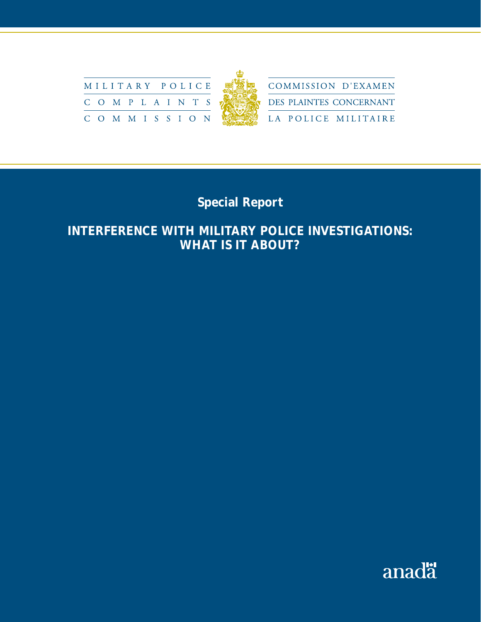

# **Special Report**

## **INTERFERENCE WITH MILITARY POLICE INVESTIGATIONS: WHAT IS IT ABOUT?**

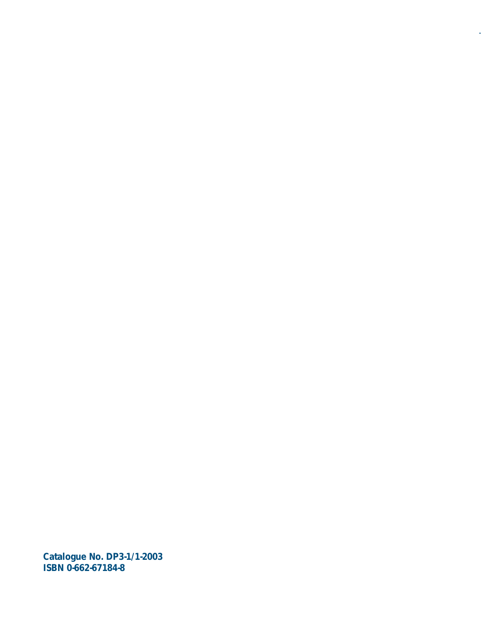**Catalogue No. DP3-1/1-2003 ISBN 0-662-67184-8**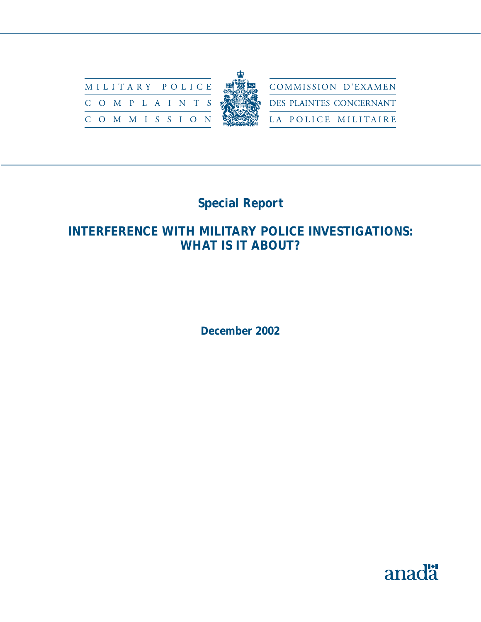

# **Special Report**

## **INTERFERENCE WITH MILITARY POLICE INVESTIGATIONS: WHAT IS IT ABOUT?**

**December 2002** 

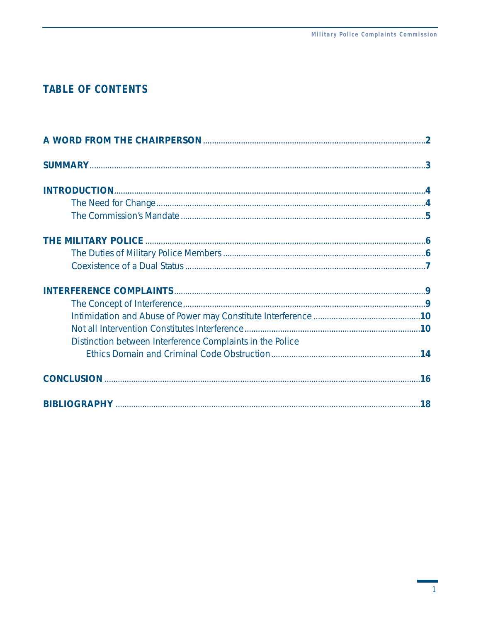## **TABLE OF CONTENTS**

| Distinction between Interference Complaints in the Police |  |
|-----------------------------------------------------------|--|
|                                                           |  |
|                                                           |  |
|                                                           |  |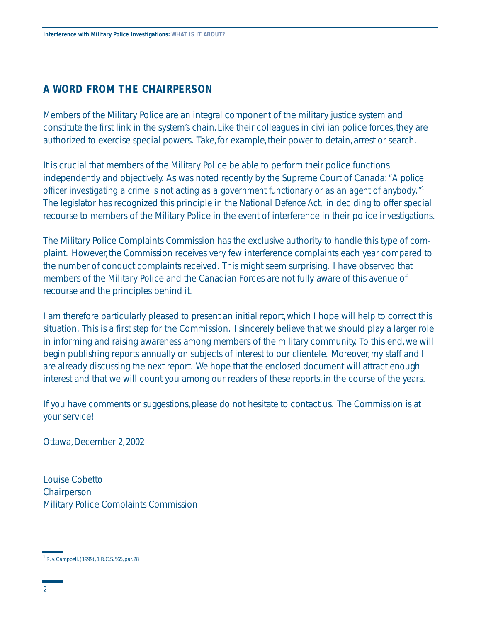## **A WORD FROM THE CHAIRPERSON**

Members of the Military Police are an integral component of the military justice system and constitute the first link in the system's chain. Like their colleagues in civilian police forces, they are authorized to exercise special powers. Take, for example, their power to detain, arrest or search.

It is crucial that members of the Military Police be able to perform their police functions independently and objectively. As was noted recently by the Supreme Court of Canada: *"A police officer investigating a crime is not acting as a government functionary or as an agent of anybody.*" 1 The legislator has recognized this principle in the *National Defence Act,* in deciding to offer special recourse to members of the Military Police in the event of interference in their police investigations.

The Military Police Complaints Commission has the exclusive authority to handle this type of complaint. However, the Commission receives very few interference complaints each year compared to the number of conduct complaints received. This might seem surprising. I have observed that members of the Military Police and the Canadian Forces are not fully aware of this avenue of recourse and the principles behind it.

I am therefore particularly pleased to present an initial report,which I hope will help to correct this situation. This is a first step for the Commission. I sincerely believe that we should play a larger role in informing and raising awareness among members of the military community. To this end,we will begin publishing reports annually on subjects of interest to our clientele. Moreover,my staff and I are already discussing the next report. We hope that the enclosed document will attract enough interest and that we will count you among our readers of these reports,in the course of the years.

If you have comments or suggestions, please do not hesitate to contact us. The Commission is at your service!

Ottawa,December 2,2002

Louise Cobetto Chairperson Military Police Complaints Commission

<sup>1</sup>*R.v.Campbell*, (1999), 1 R.C.S. 565, par. 28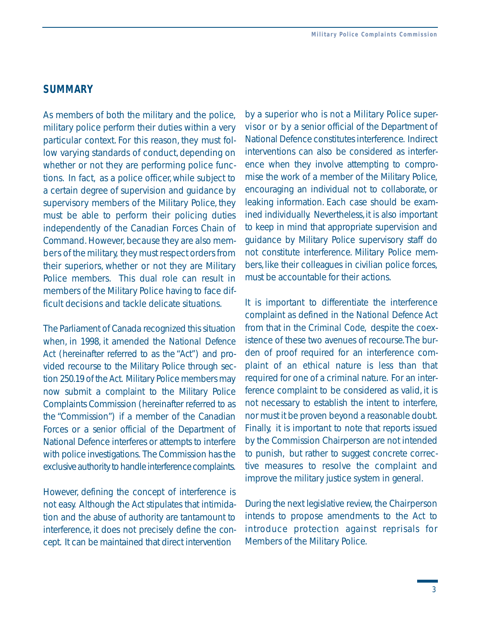## **SUMMARY**

As members of both the military and the police, military police perform their duties within a very particular context. For this reason, they must follow varying standards of conduct, depending on whether or not they are performing police functions. In fact, as a police officer, while subject to a certain degree of supervision and guidance by supervisory members of the Military Police, they must be able to perform their policing duties independently of the Canadian Forces Chain of Command. However, because they are also members of the military, they must respect orders from their superiors, whether or not they are Military Police members. This dual role can result in members of the Military Police having to face difficult decisions and tackle delicate situations.

The Parliament of Canada recognized this situation when, in 1998, it amended the *National Defence Act* (hereinafter referred to as the "*Act"*) and provided recourse to the Military Police through section 250.19 of the *Act.* Military Police members may now submit a complaint to the Military Police Complaints Commission (hereinafter referred to as the "Commission") if a member of the Canadian Forces or a senior official of the Department of National Defence interferes or attempts to interfere with police investigations. The Commission has the exclusive authority to handle interference complaints.

However, defining the concept of interference is not easy. Although the *Act* stipulates that intimidation and the abuse of authority are tantamount to interference, it does not precisely define the concept. It can be maintained that direct intervention

 visor or by a senior official of the Department of by a superior who is not a Military Police super-National Defence constitutes interference. Indirect interventions can also be considered as interference when they involve attempting to compromise the work of a member of the Military Police, encouraging an individual not to collaborate, or leaking information. Each case should be examined individually. Nevertheless, it is also important to keep in mind that appropriate supervision and guidance by Military Police supervisory staff do not constitute interference. Military Police members, like their colleagues in civilian police forces, must be accountable for their actions.

It is important to differentiate the interference complaint as defined in the *National Defence Act*  from that in the *Criminal Code,* despite the coexistence of these two avenues of recourse.The burden of proof required for an interference complaint of an ethical nature is less than that required for one of a criminal nature. For an interference complaint to be considered as valid, it is not necessary to establish the intent to interfere, nor must it be proven beyond a reasonable doubt. Finally, it is important to note that reports issued by the Commission Chairperson are not intended to punish, but rather to suggest concrete corrective measures to resolve the complaint and improve the military justice system in general.

During the next legislative review, the Chairperson intends to propose amendments to the *Act* to introduce protection against reprisals for Members of the Military Police.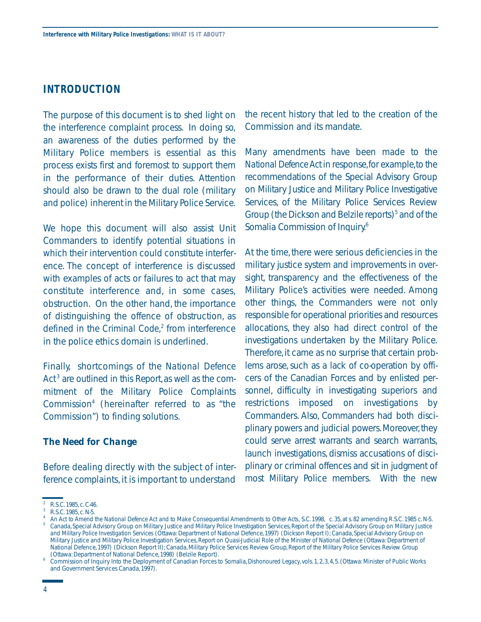### **INTRODUCTION**

The purpose of this document is to shed light on the interference complaint process. In doing so, an awareness of the duties performed by the Military Police members is essential as this process exists first and foremost to support them in the performance of their duties. Attention should also be drawn to the dual role (military and police) inherent in the Military Police Service.

We hope this document will also assist Unit Commanders to identify potential situations in which their intervention could constitute interference. The concept of interference is discussed with examples of acts or failures to act that may constitute interference and, in some cases, obstruction. On the other hand, the importance of distinguishing the offence of obstruction, as defined in the *Criminal Code*, 2 from interference in the police ethics domain is underlined.

Finally, shortcomings of the *National Defence*  Act<sup>3</sup> are outlined in this Report, as well as the commitment of the Military Police Complaints Commission<sup>4</sup> (hereinafter referred to as "the Commission") to finding solutions.

#### *The Need for Change*

Before dealing directly with the subject of interference complaints, it is important to understand the recent history that led to the creation of the Commission and its mandate.

Many amendments have been made to the *National Defence Act* in response,for example,to the recommendations of the Special Advisory Group on Military Justice and Military Police Investigative Services, of the Military Police Services Review Group (the Dickson and Belzile reports)<sup>5</sup> and of the Somalia Commission of Inquiry.6

At the time, there were serious deficiencies in the military justice system and improvements in oversight, transparency and the effectiveness of the Military Police's activities were needed. Among other things, the Commanders were not only responsible for operational priorities and resources allocations, they also had direct control of the investigations undertaken by the Military Police. Therefore, it came as no surprise that certain problems arose, such as a lack of co-operation by officers of the Canadian Forces and by enlisted personnel, difficulty in investigating superiors and restrictions imposed on investigations by Commanders. Also, Commanders had both disciplinary powers and judicial powers. Moreover, they could serve arrest warrants and search warrants, launch investigations, dismiss accusations of disciplinary or criminal offences and sit in judgment of most Military Police members. With the new

R.S.C. 1985, c. C-46.<br>R.S.C. 1985, c. N-5.<br>*An Act to Amend the National Defence Act and to Make Consequential Amendments to Other Acts, S.C.* 1998, c. 35, at s. 82 amending R.S.C. 1985 c. N-5.<br>*An Act to Amend the Nationa and Military Police Investigation Services* (Ottawa: Department of National Defence, 1997) (Dickson Report I); Canada, Special Advisory Group on

Military Justice and Military Police Investigation Services, *Report on Quasi-Judicial Role of the Minister of National Defence* (Ottawa: Department of National Defence, 1997) (Dickson Report II); Canada, Military Police Services Review Group, *Report of the Military Police Services Review Group* 

<sup>(</sup>Ottawa: Department of National Defence, 1998) (Belzile Report). 6 Commission of Inquiry Into the Deployment of Canadian Forces to Somalia,*Dishonoured Legacy*,vols.1,2,3,4,5.(Ottawa: Minister of Public Works and Government Services Canada,1997).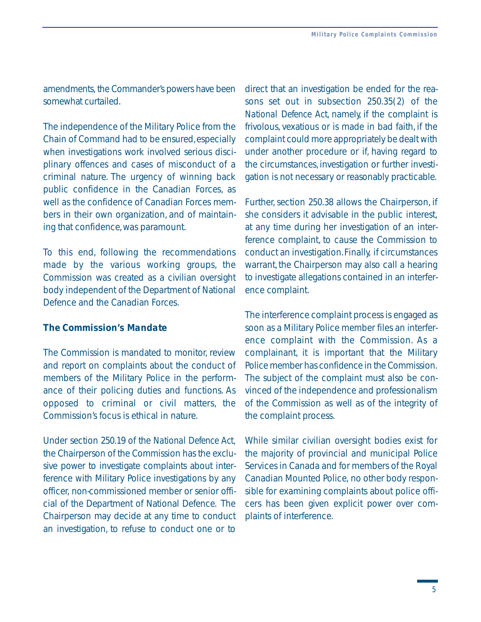amendments, the Commander's powers have been somewhat curtailed.

The independence of the Military Police from the Chain of Command had to be ensured, especially when investigations work involved serious disciplinary offences and cases of misconduct of a criminal nature. The urgency of winning back public confidence in the Canadian Forces, as well as the confidence of Canadian Forces members in their own organization, and of maintaining that confidence,was paramount.

To this end, following the recommendations made by the various working groups, the Commission was created as a civilian oversight body independent of the Department of National Defence and the Canadian Forces.

#### *The Commission's Mandate*

The Commission is mandated to monitor, review and report on complaints about the conduct of members of the Military Police in the performance of their policing duties and functions. As opposed to criminal or civil matters, the Commission's focus is ethical in nature.

Under section 250.19 of the *National Defence Act*, the Chairperson of the Commission has the exclusive power to investigate complaints about interference with Military Police investigations by any officer, non-commissioned member or senior official of the Department of National Defence. The Chairperson may decide at any time to conduct an investigation, to refuse to conduct one or to direct that an investigation be ended for the reasons set out in subsection 250.35(2) of the *National Defence Act*, namely, if the complaint is frivolous, vexatious or is made in bad faith, if the complaint could more appropriately be dealt with under another procedure or if, having regard to the circumstances, investigation or further investigation is not necessary or reasonably practicable.

Further, section 250.38 allows the Chairperson, if she considers it advisable in the public interest, at any time during her investigation of an interference complaint, to cause the Commission to conduct an investigation.Finally, if circumstances warrant, the Chairperson may also call a hearing to investigate allegations contained in an interference complaint.

The interference complaint process is engaged as soon as a Military Police member files an interference complaint with the Commission. As a complainant, it is important that the Military Police member has confidence in the Commission. The subject of the complaint must also be convinced of the independence and professionalism of the Commission as well as of the integrity of the complaint process.

While similar civilian oversight bodies exist for the majority of provincial and municipal Police Services in Canada and for members of the Royal Canadian Mounted Police, no other body responsible for examining complaints about police officers has been given explicit power over complaints of interference.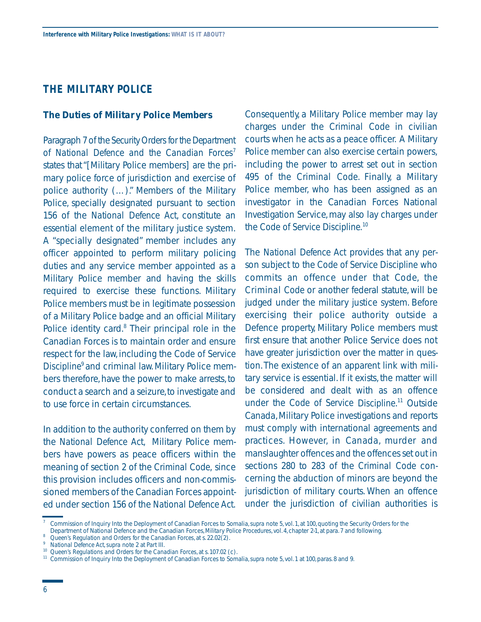## **THE MILITARY POLICE**

#### *The Duties of Military Police Members*

Paragraph 7 of the *Security Orders for the Department*  of National Defence and the Canadian Forces<sup>7</sup> states that "[Military Police members] are the primary police force of jurisdiction and exercise of police authority (…)." Members of the Military Police, specially designated pursuant to section 156 of the *National Defence Act*, constitute an essential element of the military justice system. A "specially designated" member includes any officer appointed to perform military policing duties and any service member appointed as a Military Police member and having the skills required to exercise these functions. Military Police members must be in legitimate possession of a Military Police badge and an official Military Police identity card.<sup>8</sup> Their principal role in the Canadian Forces is to maintain order and ensure respect for the law, including the *Code of Service Discipline*9 and criminal law. Military Police members therefore, have the power to make arrests, to conduct a search and a seizure, to investigate and to use force in certain circumstances.

In addition to the authority conferred on them by the *National Defence Act*, Military Police members have powers as peace officers within the meaning of section 2 of the *Criminal Code*, since this provision includes officers and non-commissioned members of the Canadian Forces appointed under section 156 of the *National Defence Act*.

Consequently, a Military Police member may lay charges under the *Criminal Code* in civilian courts when he acts as a peace officer. A Military Police member can also exercise certain powers, including the power to arrest set out in section 495 of the *Criminal Code*. Finally, a Military Police member, who has been assigned as an investigator in the Canadian Forces National Investigation Service, may also lay charges under the *Code of Service Discipline.*<sup>10</sup>

The *National Defence Act* provides that any person subject to the *Code of Service Discipline* who commits an offence under that Code, the *Criminal Code* or another federal statute, will be judged under the military justice system. Before exercising their police authority outside a Defence property, Military Police members must first ensure that another Police Service does not have greater jurisdiction over the matter in question.The existence of an apparent link with military service is essential. If it exists, the matter will be considered and dealt with as an offence under the *Code of Service Discipline*. 11 Outside Canada, Military Police investigations and reports must comply with international agreements and practices. However, in Canada, murder and manslaughter offences and the offences set out in sections 280 to 283 of the *Criminal Code* concerning the abduction of minors are beyond the jurisdiction of military courts. When an offence under the jurisdiction of civilian authorities is

<sup>7</sup> Commission of Inquiry Into the Deployment of Canadian Forces to Somalia, *supra* note 5, vol. 1, at 100, quoting the Security Orders for the

<sup>&</sup>lt;sup>8</sup> Queen's Regulation and Orders for the Canadian Forces, at s. 22.02(2).<br><sup>9</sup> National Defence Act, supra note 2 at Part III.<br><sup>10</sup> Queen's Regulations and Orders for the Canadian Forces, at s. 107.02 (c).<br><sup>11</sup> Commission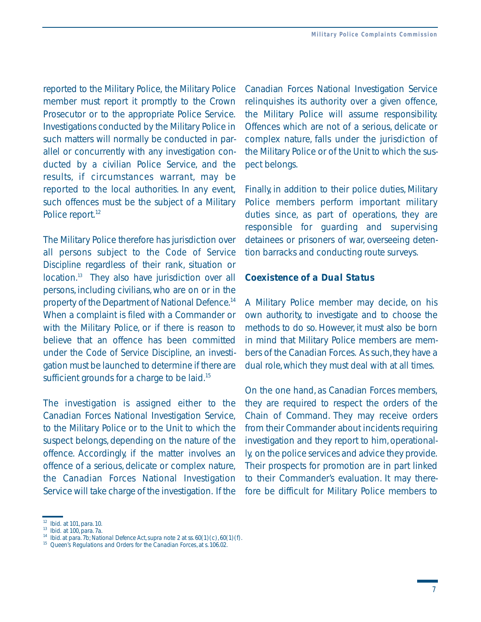reported to the Military Police, the Military Police member must report it promptly to the Crown Prosecutor or to the appropriate Police Service. Investigations conducted by the Military Police in such matters will normally be conducted in parallel or concurrently with any investigation conducted by a civilian Police Service, and the results, if circumstances warrant, may be reported to the local authorities. In any event, such offences must be the subject of a Military Police report.<sup>12</sup>

The Military Police therefore has jurisdiction over all persons subject to the *Code of Service Discipline* regardless of their rank, situation or location.<sup>13</sup> They also have jurisdiction over all persons, including civilians, who are on or in the property of the Department of National Defence.<sup>14</sup> When a complaint is filed with a Commander or with the Military Police, or if there is reason to believe that an offence has been committed under the *Code of Service Discipline*, an investigation must be launched to determine if there are sufficient grounds for a charge to be laid.<sup>15</sup>

The investigation is assigned either to the Canadian Forces National Investigation Service, to the Military Police or to the Unit to which the suspect belongs, depending on the nature of the offence. Accordingly, if the matter involves an offence of a serious, delicate or complex nature, the Canadian Forces National Investigation Service will take charge of the investigation. If the Canadian Forces National Investigation Service relinquishes its authority over a given offence, the Military Police will assume responsibility. Offences which are not of a serious, delicate or complex nature, falls under the jurisdiction of the Military Police or of the Unit to which the suspect belongs.

Finally, in addition to their police duties, Military Police members perform important military duties since, as part of operations, they are responsible for guarding and supervising detainees or prisoners of war, overseeing detention barracks and conducting route surveys.

#### *Coexistence of a Dual Status*

A Military Police member may decide, on his own authority, to investigate and to choose the methods to do so. However, it must also be born in mind that Military Police members are members of the Canadian Forces. As such, they have a dual role,which they must deal with at all times.

On the one hand, as Canadian Forces members, they are required to respect the orders of the Chain of Command. They may receive orders from their Commander about incidents requiring investigation and they report to him, operationally, on the police services and advice they provide. Their prospects for promotion are in part linked to their Commander's evaluation. It may therefore be difficult for Military Police members to

<sup>12</sup>*Ibid.* at 101, para. 10.

 <sup>13</sup> *Ibid.* at 100, para. 7a.

<sup>&</sup>lt;sup>13</sup> *Ibid.* at 100, para. 7a.<br><sup>14</sup> *Ibid.* at para. 7b; *National Defence Act, supra* note 2 at ss. 60(1) (c), 60(1) (f).

 <sup>15</sup> *Queen's Regulations and Orders for the Canadian Forces*, at s. 106.02.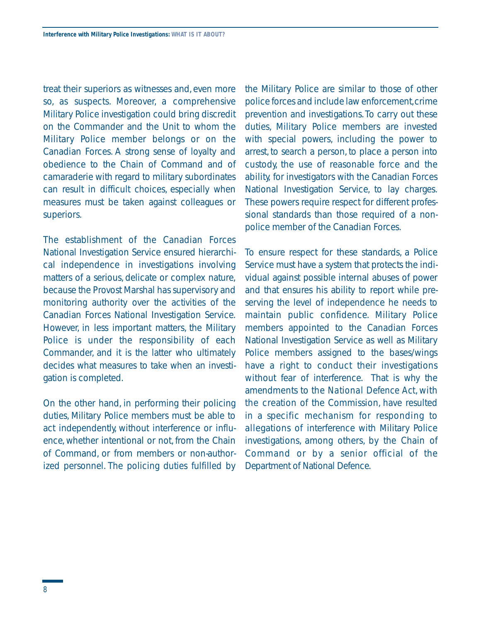treat their superiors as witnesses and, even more so, as suspects. Moreover, a comprehensive Military Police investigation could bring discredit on the Commander and the Unit to whom the Military Police member belongs or on the Canadian Forces. A strong sense of loyalty and obedience to the Chain of Command and of camaraderie with regard to military subordinates can result in difficult choices, especially when measures must be taken against colleagues or superiors.

The establishment of the Canadian Forces National Investigation Service ensured hierarchical independence in investigations involving matters of a serious, delicate or complex nature, because the Provost Marshal has supervisory and monitoring authority over the activities of the Canadian Forces National Investigation Service. However, in less important matters, the Military Police is under the responsibility of each Commander, and it is the latter who ultimately decides what measures to take when an investigation is completed.

On the other hand, in performing their policing duties, Military Police members must be able to act independently, without interference or influence, whether intentional or not, from the Chain of Command, or from members or non-authorized personnel. The policing duties fulfilled by

the Military Police are similar to those of other police forces and include law enforcement,crime prevention and investigations.To carry out these duties, Military Police members are invested with special powers, including the power to arrest, to search a person, to place a person into custody, the use of reasonable force and the ability, for investigators with the Canadian Forces National Investigation Service, to lay charges. These powers require respect for different professional standards than those required of a nonpolice member of the Canadian Forces.

 in a specific mechanism for responding to To ensure respect for these standards, a Police Service must have a system that protects the individual against possible internal abuses of power and that ensures his ability to report while preserving the level of independence he needs to maintain public confidence. Military Police members appointed to the Canadian Forces National Investigation Service as well as Military Police members assigned to the bases/wings have a right to conduct their investigations without fear of interference. That is why the amendments to the *National Defence Act*, with the creation of the Commission, have resulted allegations of interference with Military Police investigations, among others, by the Chain of Command or by a senior official of the Department of National Defence.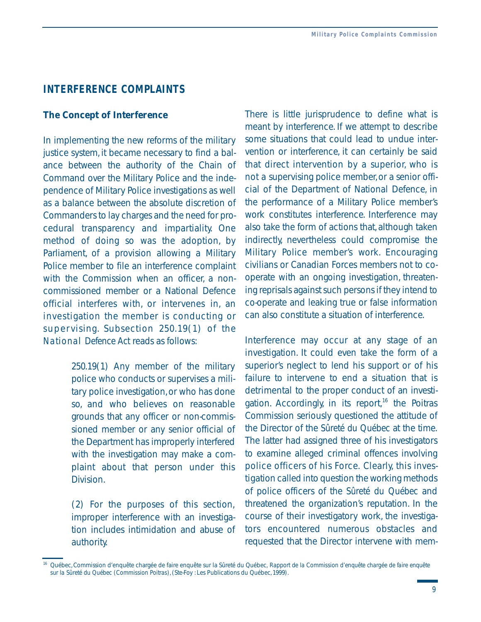#### **INTERFERENCE COMPLAINTS**

#### *The Concept of Interference*

In implementing the new reforms of the military justice system, it became necessary to find a balance between the authority of the Chain of Command over the Military Police and the independence of Military Police investigations as well as a balance between the absolute discretion of Commanders to lay charges and the need for procedural transparency and impartiality. One method of doing so was the adoption, by Parliament, of a provision allowing a Military Police member to file an interference complaint with the Commission when an officer a noncommissioned member or a National Defence official interferes with, or intervenes in, an investigation the member is conducting or supervising. Subsection 250.19(1) of the *National Defence Act* reads as follows:

> 250.19(1) Any member of the military police who conducts or supervises a military police investigation,or who has done so, and who believes on reasonable grounds that any officer or non-commissioned member or any senior official of the Department has improperly interfered with the investigation may make a complaint about that person under this Division.

> (2) For the purposes of this section, improper interference with an investigation includes intimidation and abuse of authority.

not a supervising police member, or a senior offi-There is little jurisprudence to define what is meant by interference. If we attempt to describe some situations that could lead to undue intervention or interference, it can certainly be said that direct intervention by a superior, who is cial of the Department of National Defence, in the performance of a Military Police member's work constitutes interference. Interference may also take the form of actions that, although taken indirectly, nevertheless could compromise the Military Police member's work. Encouraging civilians or Canadian Forces members not to cooperate with an ongoing investigation, threatening reprisals against such persons if they intend to co-operate and leaking true or false information can also constitute a situation of interference.

 failure to intervene to end a situation that is Interference may occur at any stage of an investigation. It could even take the form of a superior's neglect to lend his support or of his detrimental to the proper conduct of an investigation. Accordingly, in its report, $16$  the Poitras Commission seriously questioned the attitude of the Director of the *Sûreté du Québec* at the time. The latter had assigned three of his investigators to examine alleged criminal offences involving police officers of his Force. Clearly, this investigation called into question the working methods of police officers of the *Sûreté du Québec* and threatened the organization's reputation. In the course of their investigatory work, the investigators encountered numerous obstacles and requested that the Director intervene with mem-

<sup>16</sup> Québec, Commission d'enquête chargée de faire enquête sur la Sûreté du Québec, *Rapport de la Commission d'enquête chargée de faire enquête sur la Sûreté du Québec (Commission Poitras)*, (Ste-Foy : Les Publications du Québec, 1999).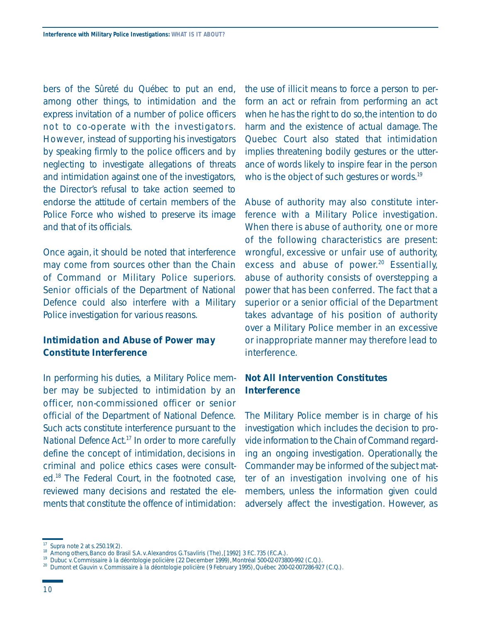bers of the *Sûreté du Québec* to put an end, among other things, to intimidation and the express invitation of a number of police officers not to co-operate with the investigators. However, instead of supporting his investigators by speaking firmly to the police officers and by neglecting to investigate allegations of threats and intimidation against one of the investigators, the Director's refusal to take action seemed to endorse the attitude of certain members of the Police Force who wished to preserve its image and that of its officials.

Once again, it should be noted that interference may come from sources other than the Chain of Command or Military Police superiors. Senior officials of the Department of National Defence could also interfere with a Military Police investigation for various reasons.

## *Intimidation and Abuse of Power may Constitute Interference*

In performing his duties, a Military Police member may be subjected to intimidation by an officer, non-commissioned officer or senior official of the Department of National Defence. Such acts constitute interference pursuant to the *National Defence Act*. 17 In order to more carefully define the concept of intimidation, decisions in criminal and police ethics cases were consulted.18 The Federal Court, in the footnoted case, reviewed many decisions and restated the elements that constitute the offence of intimidation:

the use of illicit means to force a person to perform an act or refrain from performing an act when he has the right to do so, the intention to do harm and the existence of actual damage. The Quebec Court also stated that intimidation implies threatening bodily gestures or the utterance of words likely to inspire fear in the person who is the object of such gestures or words. $19$ 

Abuse of authority may also constitute interference with a Military Police investigation. When there is abuse of authority, one or more of the following characteristics are present: wrongful, excessive or unfair use of authority, excess and abuse of power.<sup>20</sup> Essentially, abuse of authority consists of overstepping a power that has been conferred. The fact that a superior or a senior official of the Department takes advantage of his position of authority over a Military Police member in an excessive or inappropriate manner may therefore lead to interference.

### *Not All Intervention Constitutes Interference*

The Military Police member is in charge of his investigation which includes the decision to provide information to the Chain of Command regarding an ongoing investigation. Operationally, the Commander may be informed of the subject matter of an investigation involving one of his members, unless the information given could adversely affect the investigation. However, as

*Supra* note 2 at s. 250.19(2).<br>Among others, *Banco do Brasil S.A.v. Alexandros G.Tsavliris (The)*, [1992] 3 FC. 735 (EC.A.).

 <sup>19</sup> *Dubuc v.Commissaire à la déontologie policière* (22 December 1999), Montréal 500-02-073800-992 (C.Q.).

 <sup>20</sup> *Dumont et Gauvin v.Commissaire à la déontologie policière* (9 February 1995), Québec 200-02-007286-927 (C.Q.).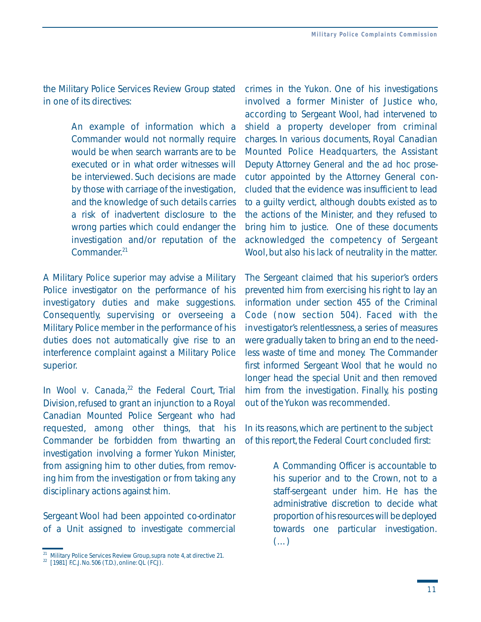the Military Police Services Review Group stated in one of its directives:

> An example of information which a Commander would not normally require would be when search warrants are to be executed or in what order witnesses will be interviewed. Such decisions are made by those with carriage of the investigation, and the knowledge of such details carries a risk of inadvertent disclosure to the wrong parties which could endanger the investigation and/or reputation of the Commander.<sup>21</sup>

A Military Police superior may advise a Military Police investigator on the performance of his investigatory duties and make suggestions. Consequently, supervising or overseeing a Military Police member in the performance of his duties does not automatically give rise to an interference complaint against a Military Police superior.

In *Wool v. Canada*, 22 the Federal Court, Trial Division,refused to grant an injunction to a Royal Canadian Mounted Police Sergeant who had requested, among other things, that his Commander be forbidden from thwarting an investigation involving a former Yukon Minister, from assigning him to other duties, from removing him from the investigation or from taking any disciplinary actions against him.

Sergeant Wool had been appointed co-ordinator of a Unit assigned to investigate commercial crimes in the Yukon. One of his investigations involved a former Minister of Justice who, according to Sergeant Wool, had intervened to shield a property developer from criminal charges. In various documents, Royal Canadian Mounted Police Headquarters, the Assistant Deputy Attorney General and the *ad hoc* prosecutor appointed by the Attorney General concluded that the evidence was insufficient to lead to a guilty verdict, although doubts existed as to the actions of the Minister, and they refused to bring him to justice. One of these documents acknowledged the competency of Sergeant Wool, but also his lack of neutrality in the matter.

The Sergeant claimed that his superior's orders prevented him from exercising his right to lay an information under section 455 of the *Criminal Code* (now section 504). Faced with the investigator's relentlessness, a series of measures were gradually taken to bring an end to the needless waste of time and money. The Commander first informed Sergeant Wool that he would no longer head the special Unit and then removed him from the investigation. Finally, his posting out of the Yukon was recommended.

In its reasons,which are pertinent to the subject of this report, the Federal Court concluded first:

> A Commanding Officer is accountable to his superior and to the Crown, not to a staff-sergeant under him. He has the administrative discretion to decide what proportion of his resources will be deployed towards one particular investigation. (…)

<sup>&</sup>lt;sup>21</sup> Military Police Services Review Group, *supra* note 4, at directive 21.<br><sup>22</sup> [1981] F.C.J. No. 506 (T.D.), online: QL (FCJ).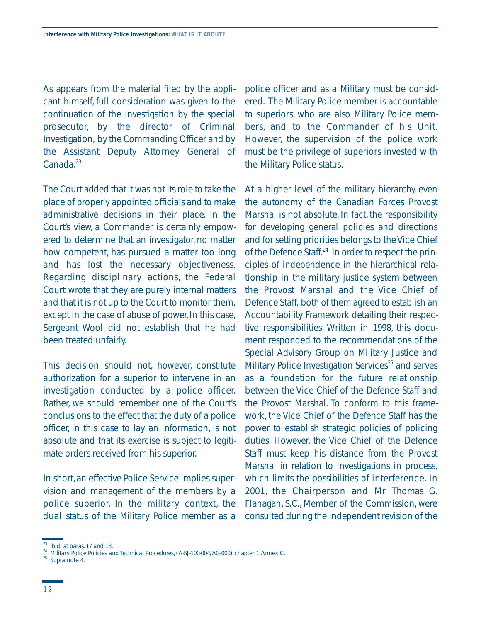As appears from the material filed by the applicant himself, full consideration was given to the continuation of the investigation by the special prosecutor, by the director of Criminal Investigation, by the Commanding Officer and by the Assistant Deputy Attorney General of  $Canada.<sup>23</sup>$ 

The Court added that it was not its role to take the place of properly appointed officials and to make administrative decisions in their place. In the Court's view, a Commander is certainly empowered to determine that an investigator, no matter how competent, has pursued a matter too long and has lost the necessary objectiveness. Regarding disciplinary actions, the Federal Court wrote that they are purely internal matters and that it is not up to the Court to monitor them, except in the case of abuse of power.In this case, Sergeant Wool did not establish that he had been treated unfairly.

This decision should not, however, constitute authorization for a superior to intervene in an investigation conducted by a police officer. Rather, we should remember one of the Court's conclusions to the effect that the duty of a police officer, in this case to lay an information, is not absolute and that its exercise is subject to legitimate orders received from his superior.

In short,an effective Police Service implies supervision and management of the members by a police superior. In the military context, the dual status of the Military Police member as a

police officer and as a Military must be considered. The Military Police member is accountable to superiors, who are also Military Police members, and to the Commander of his Unit. However, the supervision of the police work must be the privilege of superiors invested with the Military Police status.

At a higher level of the military hierarchy, even the autonomy of the Canadian Forces Provost Marshal is not absolute. In fact, the responsibility for developing general policies and directions and for setting priorities belongs to the Vice Chief of the Defence Staff.<sup>24</sup> In order to respect the principles of independence in the hierarchical relationship in the military justice system between the Provost Marshal and the Vice Chief of Defence Staff, both of them agreed to establish an Accountability Framework detailing their respective responsibilities. Written in 1998, this document responded to the recommendations of the Special Advisory Group on Military Justice and Military Police Investigation Services<sup>25</sup> and serves as a foundation for the future relationship between the Vice Chief of the Defence Staff and the Provost Marshal. To conform to this framework, the Vice Chief of the Defence Staff has the power to establish strategic policies of policing duties. However, the Vice Chief of the Defence Staff must keep his distance from the Provost Marshal in relation to investigations in process, which limits the possibilities of interference. In 2001, the Chairperson and Mr. Thomas G. Flanagan, S.C., Member of the Commission, were consulted during the independent revision of the

<sup>23</sup>*Ibid.* at paras. 17 and 18. 24 *Military Police Policies and Technical Procedures*,(A-SJ-100-004/AG-000) chapter 1,Annex C. 25 *Supra* note 4.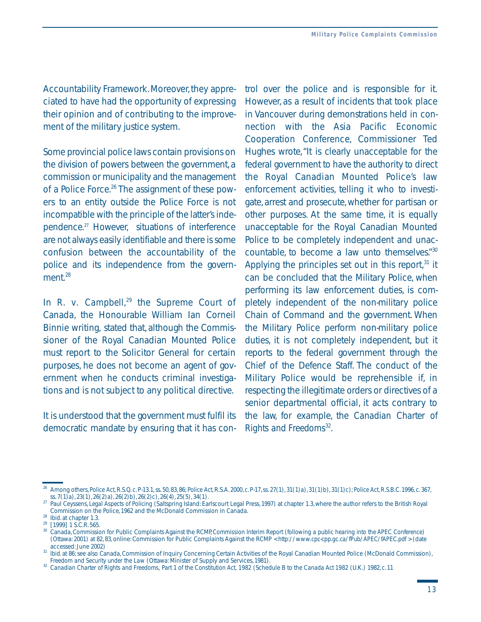Accountability Framework. Moreover, they appreciated to have had the opportunity of expressing their opinion and of contributing to the improvement of the military justice system.

Some provincial police laws contain provisions on the division of powers between the government,a commission or municipality and the management of a Police Force.<sup>26</sup> The assignment of these powers to an entity outside the Police Force is not incompatible with the principle of the latter's independence.27 However, situations of interference are not always easily identifiable and there is some confusion between the accountability of the police and its independence from the government.<sup>28</sup>

In *R. v. Campbell*<sup>29</sup> the Supreme Court of Canada, the Honourable William Ian Corneil Binnie writing, stated that, although the Commissioner of the Royal Canadian Mounted Police must report to the Solicitor General for certain purposes, he does not become an agent of government when he conducts criminal investigations and is not subject to any political directive.

It is understood that the government must fulfil its democratic mandate by ensuring that it has control over the police and is responsible for it. However, as a result of incidents that took place in Vancouver during demonstrations held in connection with the Asia Pacific Economic Cooperation Conference, Commissioner Ted Hughes wrote,"It is clearly unacceptable for the federal government to have the authority to direct the Royal Canadian Mounted Police's law enforcement activities, telling it who to investigate, arrest and prosecute, whether for partisan or other purposes. At the same time, it is equally unacceptable for the Royal Canadian Mounted Police to be completely independent and unaccountable, to become a law unto themselves."30 Applying the principles set out in this report, $31$  it can be concluded that the Military Police, when performing its law enforcement duties, is completely independent of the non-military police Chain of Command and the government. When the Military Police perform non-military police duties, it is not completely independent, but it reports to the federal government through the Chief of the Defence Staff. The conduct of the Military Police would be reprehensible if, in respecting the illegitimate orders or directives of a senior departmental official, it acts contrary to the law, for example, the *Canadian Charter of Rights and Freedoms*32.

Among others, *Police Act*, R.S.Q. c. P-13.1, ss. 50, 83, 86; *Police Act*, R.S.A. 2000, c. P-17, ss. 27(1), 31(1)a), 31(1)b), 31(1)c); *Police Act*, R.S.B.C. 1996, c. 367, ss. 7(1)a), 23(1), 26(2)a), 26(2)b), 26(2)c), 26(

ss.  $7(1)a$ ,  $23(1)$ ,  $26(2)a$ ,  $26(2)b$ ,  $26(2)c$ ,  $26(4)$ ,  $25(5)$ ,  $34(1)$ .<br><sup>27</sup> Paul Ceyssens, *Legal Aspects of Policing* (Saltspring Island: Earlscourt Legal Press, 1997) at chapter 1.3, where the author refers to the B

<sup>%</sup> Commission on the Police, 1962 and the McDonald Commission in Canada.<br><sup>28</sup> Ibid. at chapter 1.3.<br><sup>29</sup> [1999] 1 S.C.R. 565.<br><sup>30</sup> Canada, Commission for Public Complaints Against the RCMP, *Commission Interim Report (follo* (Ottawa: 2001) at 82, 83, online: Commission for Public Complaints Against the RCMP < *http://www.cpc-cpp.gc.ca/fPub/APEC/fAPEC.pdf* > (date

<sup>&</sup>lt;sup>31</sup> *Ibid.* at 86; see also Canada, Commission of Inquiry Concerning Certain Activities of the Royal Canadian Mounted Police (McDonald Commission), *Freedom and Security under the Law* (Ottawa: Minister of Supply and Services, 1981).

 <sup>32</sup> *Canadian Charter of Rights and Freedoms,* Part 1 of the *Constitution Act, 1982* (Schedule B to the *Canada Act 1982* (U.K.) 1982, c. 11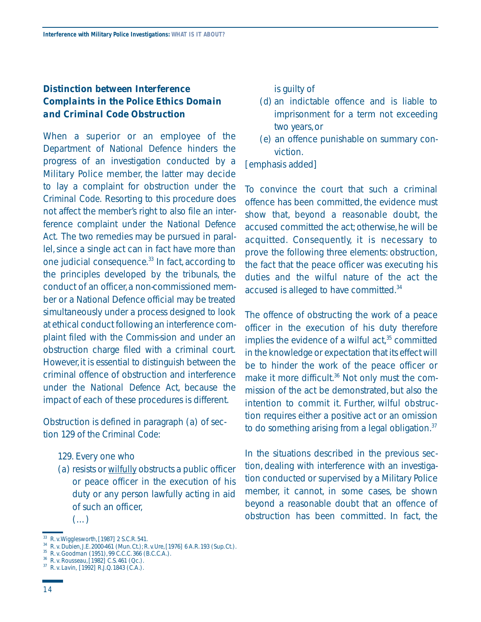## *Distinction between Interference Complaints in the Police Ethics Domain and Criminal Code Obstruction*

When a superior or an employee of the Department of National Defence hinders the progress of an investigation conducted by a Military Police member, the latter may decide to lay a complaint for obstruction under the *Criminal Code.* Resorting to this procedure does not affect the member's right to also file an interference complaint under the *National Defence Act*. The two remedies may be pursued in parallel, since a single act can in fact have more than one judicial consequence.<sup>33</sup> In fact, according to the principles developed by the tribunals, the conduct of an officer, a non-commissioned member or a National Defence official may be treated simultaneously under a process designed to look at ethical conduct following an interference complaint filed with the Commis-sion and under an obstruction charge filed with a criminal court. However, it is essential to distinguish between the criminal offence of obstruction and interference under the *National Defence Act*, because the impact of each of these procedures is different.

Obstruction is defined in paragraph (a) of section 129 of the *Criminal Code*:

- 129. Every one who
- (*a*) resists or wilfully obstructs a public officer or peace officer in the execution of his duty or any person lawfully acting in aid of such an officer,
	- $(\ldots)$
- (*d*) an indictable offence and is liable to imprisonment for a term not exceeding two years, or
- (*e*) an offence punishable on summary conviction.

#### [emphasis added]

To convince the court that such a criminal offence has been committed, the evidence must show that, beyond a reasonable doubt, the accused committed the act; otherwise, he will be acquitted. Consequently, it is necessary to prove the following three elements: obstruction, the fact that the peace officer was executing his duties and the wilful nature of the act the accused is alleged to have committed.<sup>34</sup>

The offence of obstructing the work of a peace officer in the execution of his duty therefore implies the evidence of a wilful act, $35$  committed in the knowledge or expectation that its effect will be to hinder the work of the peace officer or make it more difficult.<sup>36</sup> Not only must the commission of the act be demonstrated, but also the intention to commit it. Further, wilful obstruction requires either a positive act or an omission to do something arising from a legal obligation.<sup>37</sup>

In the situations described in the previous section, dealing with interference with an investigation conducted or supervised by a Military Police member, it cannot, in some cases, be shown beyond a reasonable doubt that an offence of obstruction has been committed. In fact, the

<sup>33</sup>*R.v.Wigglesworth*, [1987] 2 S.C.R. 541.

 <sup>34</sup> *R.v.Dubien*, J.E. 2000-461 (Mun. Ct.); *R*.v.*Ure*, [1976] 6 A.R. 193 (Sup. Ct.). <sup>34</sup> *R. v. Dubien,* J.E. 2000-461 (Mun. Ct.); *R. v. Ure*, [1976] 6 A.R. 193 (Sup. Ct.).<br><sup>35</sup> *R. v. Goodman* (1951), 99 C.C.C. 366 (B.C.C.A.).

<sup>&</sup>lt;sup>35</sup> *R. v. Goodman* (1951), 99 C.C.C. 366 (B.C.C.A.).<br><sup>36</sup> *R. v. Rousseau*, [1982] C.S. 461 (Qc.).

 <sup>37</sup> *R.v.Lavin*, [1992] R.J.Q. 1843 (C.A.).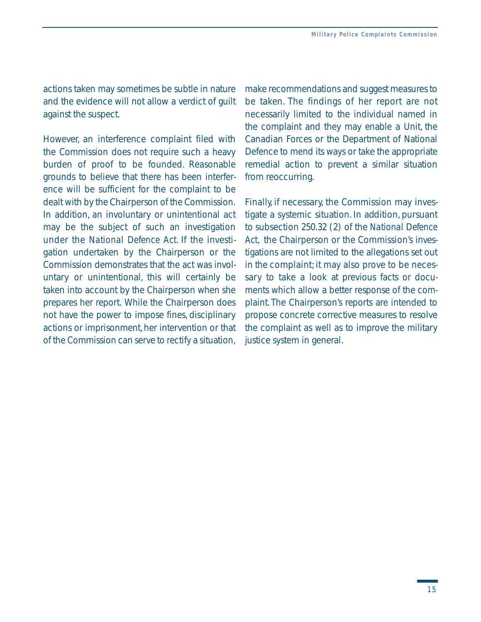actions taken may sometimes be subtle in nature and the evidence will not allow a verdict of guilt against the suspect.

However, an interference complaint filed with the Commission does not require such a heavy burden of proof to be founded. Reasonable grounds to believe that there has been interference will be sufficient for the complaint to be dealt with by the Chairperson of the Commission. In addition, an involuntary or unintentional act may be the subject of such an investigation under the *National Defence Act*. If the investigation undertaken by the Chairperson or the Commission demonstrates that the act was involuntary or unintentional, this will certainly be taken into account by the Chairperson when she prepares her report. While the Chairperson does not have the power to impose fines, disciplinary actions or imprisonment, her intervention or that of the Commission can serve to rectify a situation,

make recommendations and suggest measures to be taken. The findings of her report are not necessarily limited to the individual named in the complaint and they may enable a Unit, the Canadian Forces or the Department of National Defence to mend its ways or take the appropriate remedial action to prevent a similar situation from reoccurring.

 sary to take a look at previous facts or docu-Finally, if necessary, the Commission may investigate a systemic situation. In addition, pursuant to subsection 250.32 (2) of the *National Defence Act*, the Chairperson or the Commission's investigations are not limited to the allegations set out in the complaint; it may also prove to be necesments which allow a better response of the complaint. The Chairperson's reports are intended to propose concrete corrective measures to resolve the complaint as well as to improve the military justice system in general.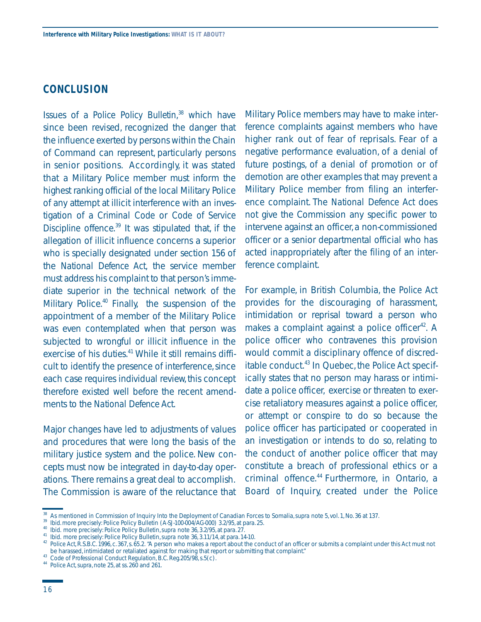### **CONCLUSION**

Issues of a *Police Policy Bulletin*, 38 which have since been revised, recognized the danger that the influence exerted by persons within the Chain of Command can represent, particularly persons in senior positions. Accordingly, it was stated that a Military Police member must inform the highest ranking official of the local Military Police of any attempt at illicit interference with an investigation of a *Criminal Code* or *Code of Service Discipline* offence.39 It was stipulated that, if the allegation of illicit influence concerns a superior who is specially designated under section 156 of the *National Defence Act,* the service member must address his complaint to that person's immediate superior in the technical network of the Military Police. $40$  Finally, the suspension of the appointment of a member of the Military Police was even contemplated when that person was subjected to wrongful or illicit influence in the exercise of his duties.<sup>41</sup> While it still remains difficult to identify the presence of interference, since each case requires individual review, this concept therefore existed well before the recent amendments to the *National Defence Act*.

Major changes have led to adjustments of values and procedures that were long the basis of the military justice system and the police. New concepts must now be integrated in day-to-day operations. There remains a great deal to accomplish. The Commission is aware of the reluctance that

Military Police members may have to make interference complaints against members who have higher rank out of fear of reprisals. Fear of a negative performance evaluation, of a denial of future postings, of a denial of promotion or of demotion are other examples that may prevent a Military Police member from filing an interference complaint. The *National Defence Act* does not give the Commission any specific power to intervene against an officer, a non-commissioned officer or a senior departmental official who has acted inappropriately after the filing of an interference complaint.

For example, in British Columbia, the *Police Act*  provides for the discouraging of harassment, intimidation or reprisal toward a person who makes a complaint against a police officer<sup>42</sup>. A police officer who contravenes this provision would commit a disciplinary offence of discreditable conduct.43 In Quebec, the *Police Act* specifically states that no person may harass or intimidate a police officer, exercise or threaten to exercise retaliatory measures against a police officer, or attempt or conspire to do so because the police officer has participated or cooperated in an investigation or intends to do so, relating to the conduct of another police officer that may constitute a breach of professional ethics or a criminal offence.<sup>44</sup> Furthermore, in Ontario, a Board of Inquiry, created under the *Police* 

<sup>&</sup>lt;sup>38</sup> As mentioned in Commission of Inquiry Into the Deployment of Canadian Forces to Somalia, *supra* note 5, vol. 1, No. 36 at 137.<br><sup>39</sup> *Ibid.* more precisely: Police Policy Bulletin (A-SJ-100-004/AG-000) 3.2/95, at par

<sup>&</sup>lt;sup>43</sup> Code of Professional Conduct Regulation, B.C. Reg. 205/98, s.5(c).<br><sup>44</sup> Police Act, supra, note 25, at ss. 260 and 261.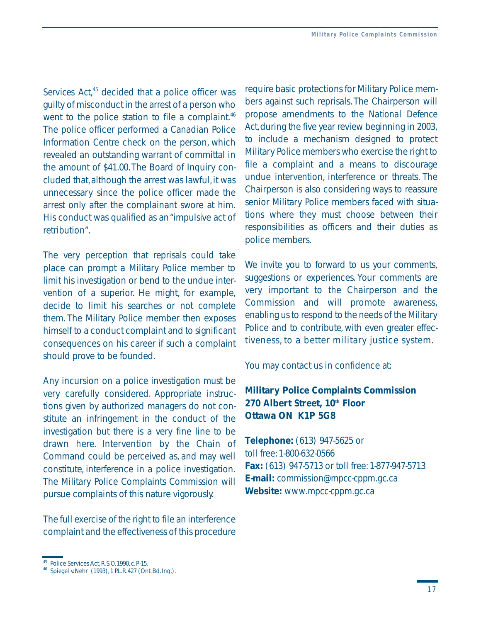Services Act,<sup>45</sup> decided that a police officer was guilty of misconduct in the arrest of a person who went to the police station to file a complaint.<sup>46</sup> The police officer performed a Canadian Police Information Centre check on the person, which revealed an outstanding warrant of committal in the amount of \$41.00. The Board of Inquiry concluded that, although the arrest was lawful, it was unnecessary since the police officer made the arrest only after the complainant swore at him. His conduct was qualified as an "impulsive act of retribution".

The very perception that reprisals could take place can prompt a Military Police member to limit his investigation or bend to the undue intervention of a superior. He might, for example, decide to limit his searches or not complete them. The Military Police member then exposes himself to a conduct complaint and to significant consequences on his career if such a complaint should prove to be founded.

Any incursion on a police investigation must be very carefully considered. Appropriate instructions given by authorized managers do not constitute an infringement in the conduct of the investigation but there is a very fine line to be drawn here. Intervention by the Chain of Command could be perceived as, and may well constitute, interference in a police investigation. The Military Police Complaints Commission will pursue complaints of this nature vigorously.

The full exercise of the right to file an interference complaint and the effectiveness of this procedure We invite you to forward to us your comments, suggestions or experiences. Your comments are very important to the Chairperson and the Commission and will promote awareness, enabling us to respond to the needs of the Military Police and to contribute, with even greater effectiveness, to a better military justice system.

You may contact us in confidence at:

## **Military Police Complaints Commission 270 Albert Street, 10th Floor Ottawa ON K1P 5G8**

**Telephone:** (613) 947-5625 or toll free: 1-800-632-0566 **Fax:** (613) 947-5713 or toll free: 1-877-947-5713 **E-mail:** *commission@mpcc-cppm.gc.ca*  **Website:** *www.mpcc-cppm.gc.ca* 

require basic protections for Military Police members against such reprisals. The Chairperson will propose amendments to the *National Defence*  Act, during the five year review beginning in 2003, to include a mechanism designed to protect Military Police members who exercise the right to file a complaint and a means to discourage undue intervention, interference or threats. The Chairperson is also considering ways to reassure senior Military Police members faced with situations where they must choose between their responsibilities as officers and their duties as police members.

 $^{45}$  Police Services Act, R.S.O. 1990, c. P-15.  $^{46}$  Spiegel v.Nehr (1993), 1 P.L.R.427 (Ont. Bd. Inq.).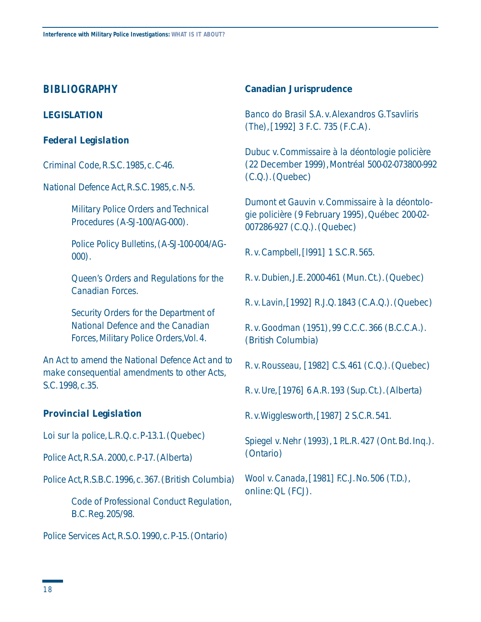## **BIBLIOGRAPHY**

#### **LEGISLATION**

#### *Federal Legislation*

*Criminal Code*,R.S.C.1985,c.C-46.

*National Defence Act*, R.S.C. 1985, c. N-5.

*Military Police Orders and Technical Procedures* (A-SJ-100/AG-000).

*Police Policy Bulletins*,(A-SJ-100-004/AG-000).

*Queen's Orders and Regulations for the Canadian Forces.* 

*Security Orders for the Department of National Defence and the Canadian Forces,Military Police Orders,Vol.4.* 

*An Act to amend the National Defence Act and to make consequential amendments to other Acts*, S.C.1998,c.35.

#### *Provincial Legislation*

*Loi sur la police*,L.R.Q.c.P-13.1.(Quebec)

*Police Act*, R.S.A. 2000, c. P-17. (Alberta)

*Police Act*, R.S.B.C. 1996, c. 367. (British Columbia)

*Code of Professional Conduct Regulation*, B.C.Reg. 205/98.

*Police Services Act, R.S.O.* 1990, c. P-15. (Ontario)

#### **Canadian Jurisprudence**

*Banco do Brasil S.A.v.Alexandros G.Tsavliris (The)*,[1992] 3 F.C. 735 (F.C.A).

*Dubuc v.Commissaire à la déontologie policière*  (22 December 1999),Montréal 500-02-073800-992 (C.Q.). (Quebec)

*Dumont et Gauvin v.Commissaire à la déontologie policière* (9 February 1995),Québec 200-02 007286-927 (C.Q.).(Quebec)

*R.v.Campbell*,[l991] 1 S.C.R.565.

*R.v.Dubien*,J.E.2000-461 (Mun.Ct.).(Quebec)

*R.v.Lavin*,[1992] R.J.Q.1843 (C.A.Q.).(Quebec)

*R.v.Goodman* (1951),99 C.C.C.366 (B.C.C.A.). (British Columbia)

*R.v.Rousseau*, [1982] C.S.461 (C.Q.).(Quebec)

*R.v.Ure*,[1976] 6 A.R.193 (Sup.Ct.).(Alberta)

*R.v.Wigglesworth*,[1987] 2 S.C.R.541.

*Spiegel v. Nehr* (1993), 1 P.L.R. 427 (Ont. Bd. Inq.). (Ontario)

*Wool v. Canada*, [1981] F.C.J. No. 506 (T.D.), online: QL (FCJ).